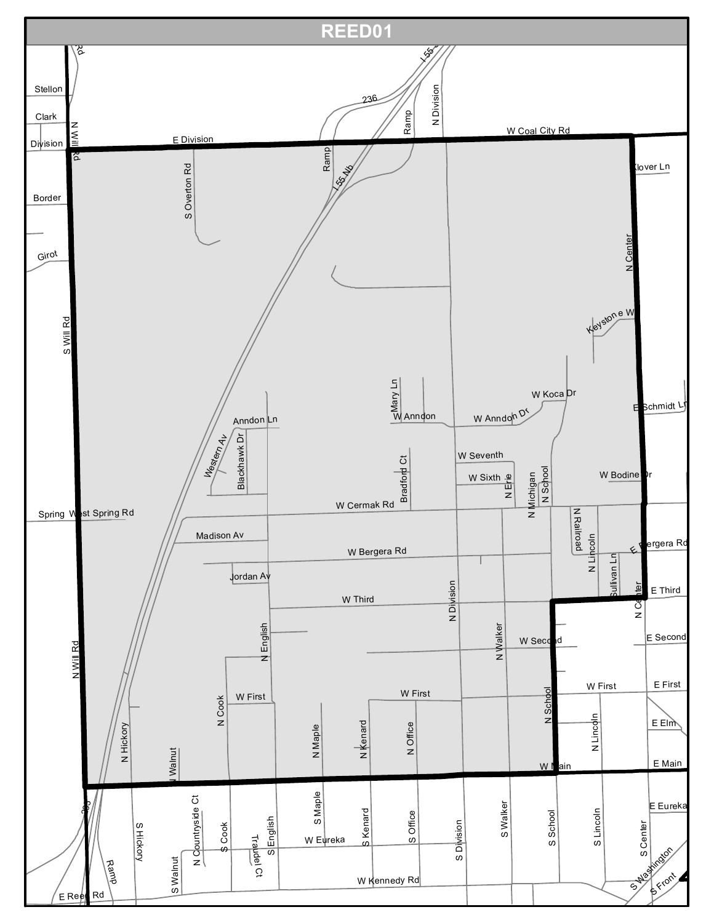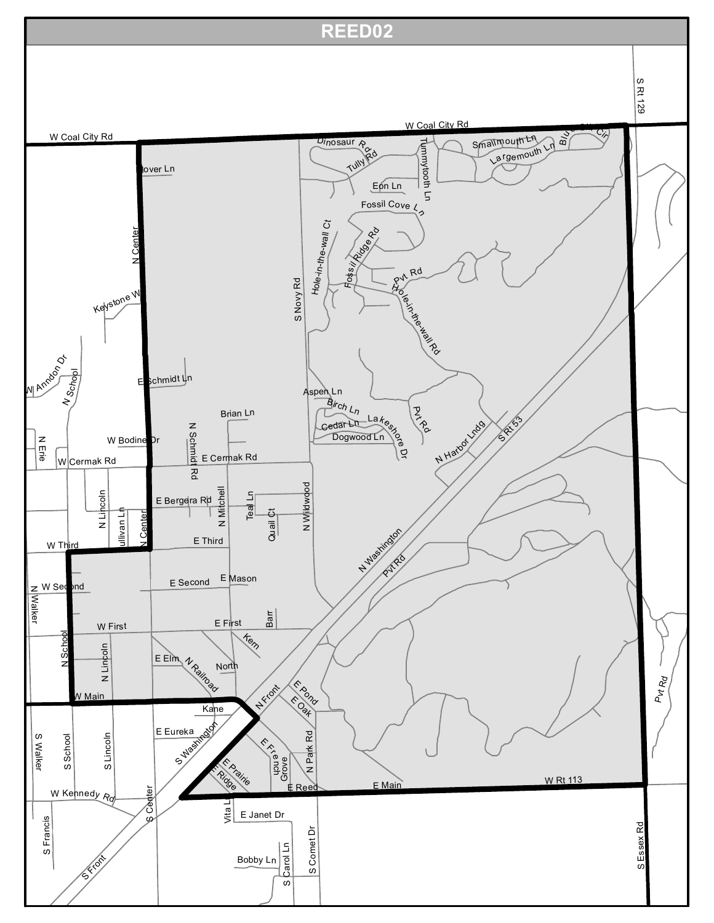